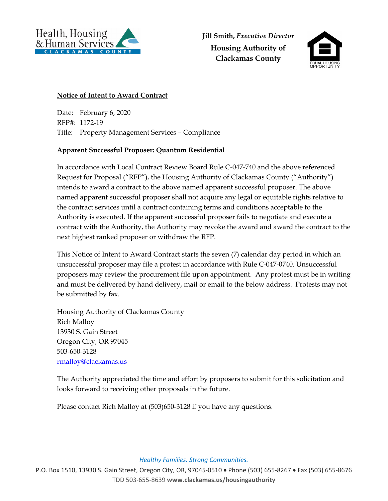

**Jill Smith,** *Executive Director* **Housing Authority of Clackamas County** 



## **Notice of Intent to Award Contract**

Date: February 6, 2020 RFP#: 1172-19 Title: Property Management Services – Compliance

## **Apparent Successful Proposer: Quantum Residential**

In accordance with Local Contract Review Board Rule C-047-740 and the above referenced Request for Proposal ("RFP"), the Housing Authority of Clackamas County ("Authority") intends to award a contract to the above named apparent successful proposer. The above named apparent successful proposer shall not acquire any legal or equitable rights relative to the contract services until a contract containing terms and conditions acceptable to the Authority is executed. If the apparent successful proposer fails to negotiate and execute a contract with the Authority, the Authority may revoke the award and award the contract to the next highest ranked proposer or withdraw the RFP.

This Notice of Intent to Award Contract starts the seven (7) calendar day period in which an unsuccessful proposer may file a protest in accordance with Rule C-047-0740. Unsuccessful proposers may review the procurement file upon appointment. Any protest must be in writing and must be delivered by hand delivery, mail or email to the below address. Protests may not be submitted by fax.

Housing Authority of Clackamas County Rich Malloy 13930 S. Gain Street Oregon City, OR 97045 503-650-3128 rmalloy@clackamas.us

The Authority appreciated the time and effort by proposers to submit for this solicitation and looks forward to receiving other proposals in the future.

Please contact Rich Malloy at (503)650-3128 if you have any questions.

## *Healthy Families. Strong Communities.*

P.O. Box 1510, 13930 S. Gain Street, Oregon City, OR, 97045‐0510 Phone (503) 655‐8267 Fax (503) 655‐8676 TDD 503‐655‐8639 **www.clackamas.us/housingauthority**